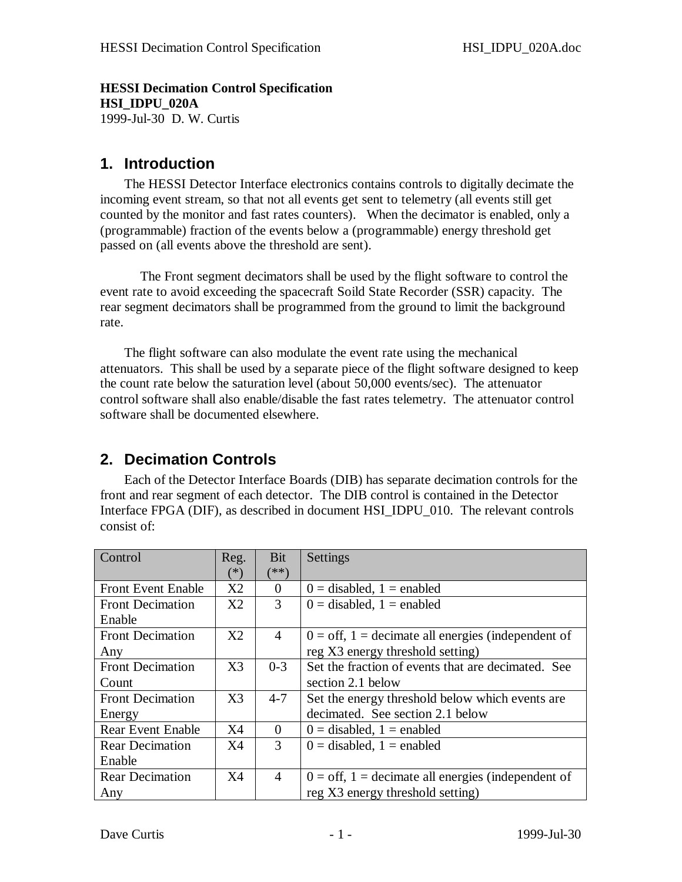**HESSI Decimation Control Specification HSI\_IDPU\_020A** 1999-Jul-30 D. W. Curtis

### **1. Introduction**

The HESSI Detector Interface electronics contains controls to digitally decimate the incoming event stream, so that not all events get sent to telemetry (all events still get counted by the monitor and fast rates counters). When the decimator is enabled, only a (programmable) fraction of the events below a (programmable) energy threshold get passed on (all events above the threshold are sent).

The Front segment decimators shall be used by the flight software to control the event rate to avoid exceeding the spacecraft Soild State Recorder (SSR) capacity. The rear segment decimators shall be programmed from the ground to limit the background rate.

The flight software can also modulate the event rate using the mechanical attenuators. This shall be used by a separate piece of the flight software designed to keep the count rate below the saturation level (about 50,000 events/sec). The attenuator control software shall also enable/disable the fast rates telemetry. The attenuator control software shall be documented elsewhere.

## **2. Decimation Controls**

Each of the Detector Interface Boards (DIB) has separate decimation controls for the front and rear segment of each detector. The DIB control is contained in the Detector Interface FPGA (DIF), as described in document HSI\_IDPU\_010. The relevant controls consist of:

| Control                   | Reg.           | Bit            | Settings                                                           |
|---------------------------|----------------|----------------|--------------------------------------------------------------------|
|                           | $(*)$          | ั**)           |                                                                    |
| <b>Front Event Enable</b> | X2             | $\Omega$       | $0 =$ disabled, $1 =$ enabled                                      |
| <b>Front Decimation</b>   | X2             | 3              | $0 =$ disabled, $1 =$ enabled                                      |
| Enable                    |                |                |                                                                    |
| <b>Front Decimation</b>   | X2             | 4              | $0 = \text{off}, 1 = \text{decimate}$ all energies (independent of |
| Any                       |                |                | reg X3 energy threshold setting)                                   |
| <b>Front Decimation</b>   | X <sub>3</sub> | $0 - 3$        | Set the fraction of events that are decimated. See                 |
| Count                     |                |                | section 2.1 below                                                  |
| <b>Front Decimation</b>   | X <sub>3</sub> | $4 - 7$        | Set the energy threshold below which events are                    |
| Energy                    |                |                | decimated. See section 2.1 below                                   |
| <b>Rear Event Enable</b>  | X4             | $\Omega$       | $0 =$ disabled, $1 =$ enabled                                      |
| <b>Rear Decimation</b>    | X4             | 3              | $0 =$ disabled, $1 =$ enabled                                      |
| Enable                    |                |                |                                                                    |
| <b>Rear Decimation</b>    | X4             | $\overline{4}$ | $0 = \text{off}, 1 = \text{decimate}$ all energies (independent of |
| Any                       |                |                | reg X3 energy threshold setting)                                   |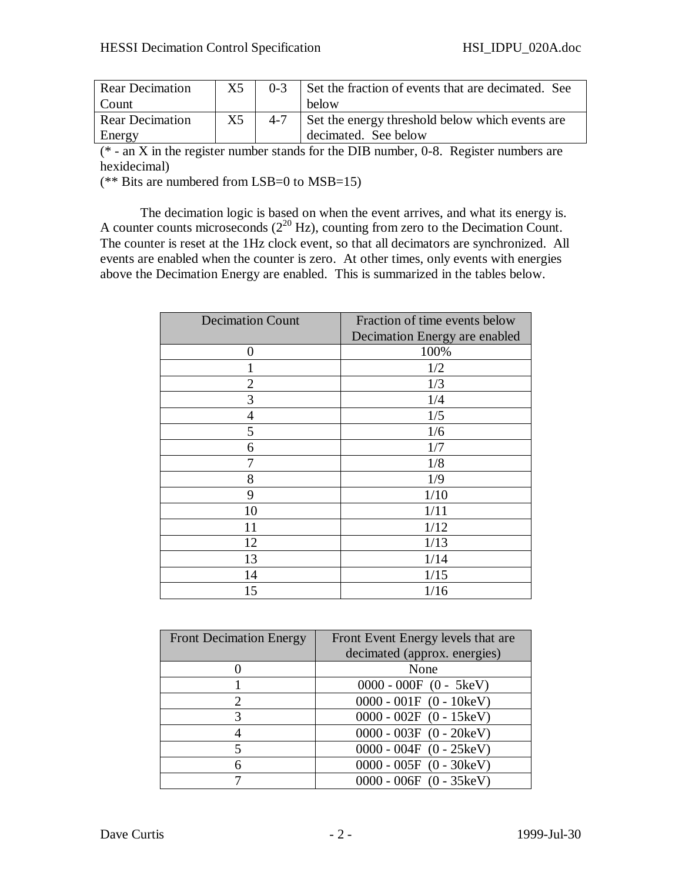| <b>Rear Decimation</b> | X5 | $0 - 3$ | Set the fraction of events that are decimated. See |
|------------------------|----|---------|----------------------------------------------------|
| Count                  |    |         | below                                              |
| <b>Rear Decimation</b> | X5 | $4 - 7$ | Set the energy threshold below which events are    |
| Energy                 |    |         | decimated. See below                               |

 $(* - an X$  in the register number stands for the DIB number, 0-8. Register numbers are hexidecimal)

(\*\* Bits are numbered from LSB=0 to MSB=15)

The decimation logic is based on when the event arrives, and what its energy is. A counter counts microseconds  $(2^{20}$  Hz), counting from zero to the Decimation Count. The counter is reset at the 1Hz clock event, so that all decimators are synchronized. All events are enabled when the counter is zero. At other times, only events with energies above the Decimation Energy are enabled. This is summarized in the tables below.

| <b>Decimation Count</b> | Fraction of time events below |  |
|-------------------------|-------------------------------|--|
|                         | Decimation Energy are enabled |  |
| 0                       | 100%                          |  |
|                         | 1/2                           |  |
| $\overline{2}$          | 1/3                           |  |
| 3                       | 1/4                           |  |
| $\overline{4}$          | 1/5                           |  |
| 5                       | 1/6                           |  |
| 6                       | 1/7                           |  |
|                         | 1/8                           |  |
| 8                       | 1/9                           |  |
| 9                       | 1/10                          |  |
| 10                      | 1/11                          |  |
| 11                      | 1/12                          |  |
| 12                      | 1/13                          |  |
| 13                      | 1/14                          |  |
| 14                      | 1/15                          |  |
| 15                      | 1/16                          |  |

| <b>Front Decimation Energy</b> | Front Event Energy levels that are |  |
|--------------------------------|------------------------------------|--|
|                                | decimated (approx. energies)       |  |
|                                | None                               |  |
|                                | $0000 - 000F (0 - 5keV)$           |  |
|                                | $0000 - 001F (0 - 10keV)$          |  |
| 3                              | $0000 - 002F (0 - 15keV)$          |  |
|                                | $0000 - 003F (0 - 20keV)$          |  |
|                                | $0000 - 004F (0 - 25keV)$          |  |
|                                | $0000 - 005F (0 - 30keV)$          |  |
|                                | $0000 - 006F (0 - 35keV)$          |  |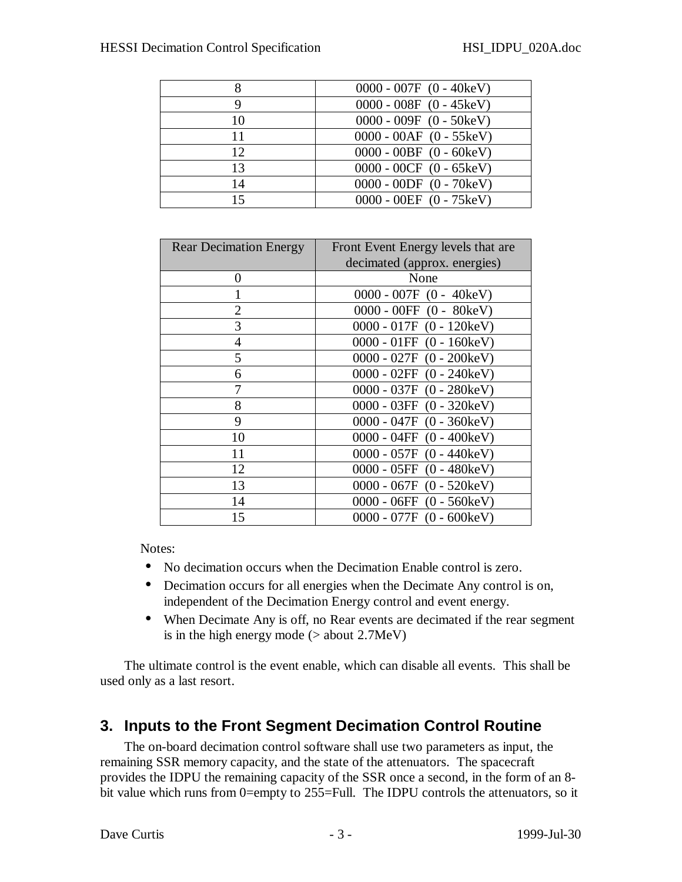|    | $0000 - 007F (0 - 40keV)$ |
|----|---------------------------|
| 9  | $0000 - 008F (0 - 45keV)$ |
| 10 | $0000 - 009F (0 - 50keV)$ |
| 11 | $0000 - 00AF$ (0 - 55keV) |
| 12 | $0000 - 00BF (0 - 60keV)$ |
| 13 | $0000 - 00CF$ (0 - 65keV) |
| 14 | $0000 - 00DF (0 - 70keV)$ |
| 15 | $0000 - 00EF (0 - 75keV)$ |

| <b>Rear Decimation Energy</b> | Front Event Energy levels that are |
|-------------------------------|------------------------------------|
|                               | decimated (approx. energies)       |
| $\mathbf{0}$                  | None                               |
|                               | $0000 - 007F (0 - 40keV)$          |
| 2                             | $0000 - 00FF (0 - 80keV)$          |
| 3                             | $0000 - 017F (0 - 120keV)$         |
| 4                             | $0000 - 01FF (0 - 160keV)$         |
| 5                             | $0000 - 027F (0 - 200keV)$         |
| 6                             | $0000 - 02FF (0 - 240keV)$         |
|                               | $0000 - 037F (0 - 280keV)$         |
| 8                             | $0000 - 03FF (0 - 320keV)$         |
| 9                             | $0000 - 047F (0 - 360keV)$         |
| 10                            | $0000 - 04FF (0 - 400keV)$         |
| 11                            | $0000 - 057F (0 - 440keV)$         |
| 12                            | $0000 - 05FF (0 - 480keV)$         |
| 13                            | $0000 - 067F (0 - 520keV)$         |
| 14                            | $0000 - 06FF (0 - 560keV)$         |
| 15                            | $0000 - 077F (0 - 600keV)$         |

Notes:

- No decimation occurs when the Decimation Enable control is zero.
- Decimation occurs for all energies when the Decimate Any control is on, independent of the Decimation Energy control and event energy.
- When Decimate Any is off, no Rear events are decimated if the rear segment is in the high energy mode ( $>$  about 2.7MeV)

The ultimate control is the event enable, which can disable all events. This shall be used only as a last resort.

## **3. Inputs to the Front Segment Decimation Control Routine**

The on-board decimation control software shall use two parameters as input, the remaining SSR memory capacity, and the state of the attenuators. The spacecraft provides the IDPU the remaining capacity of the SSR once a second, in the form of an 8 bit value which runs from 0=empty to 255=Full. The IDPU controls the attenuators, so it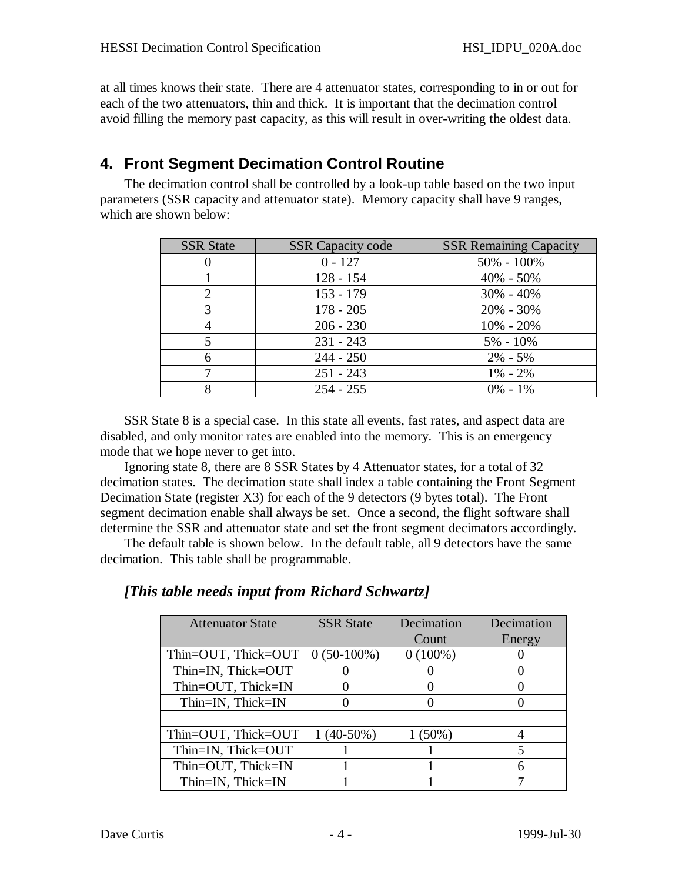at all times knows their state. There are 4 attenuator states, corresponding to in or out for each of the two attenuators, thin and thick. It is important that the decimation control avoid filling the memory past capacity, as this will result in over-writing the oldest data.

# **4. Front Segment Decimation Control Routine**

The decimation control shall be controlled by a look-up table based on the two input parameters (SSR capacity and attenuator state). Memory capacity shall have 9 ranges, which are shown below:

| <b>SSR</b> State | <b>SSR</b> Capacity code | <b>SSR Remaining Capacity</b> |
|------------------|--------------------------|-------------------------------|
| 0                | $0 - 127$                | $50\% - 100\%$                |
|                  | $128 - 154$              | $40\% - 50\%$                 |
| 2                | $153 - 179$              | $30\% - 40\%$                 |
| 3                | $178 - 205$              | $20\% - 30\%$                 |
|                  | $206 - 230$              | $10\% - 20\%$                 |
| 5                | $231 - 243$              | $5\% - 10\%$                  |
| 6                | $244 - 250$              | $2\% - 5\%$                   |
|                  | $251 - 243$              | $1\% - 2\%$                   |
| 8                | $254 - 255$              | $0\% - 1\%$                   |

SSR State 8 is a special case. In this state all events, fast rates, and aspect data are disabled, and only monitor rates are enabled into the memory. This is an emergency mode that we hope never to get into.

Ignoring state 8, there are 8 SSR States by 4 Attenuator states, for a total of 32 decimation states. The decimation state shall index a table containing the Front Segment Decimation State (register X3) for each of the 9 detectors (9 bytes total). The Front segment decimation enable shall always be set. Once a second, the flight software shall determine the SSR and attenuator state and set the front segment decimators accordingly.

The default table is shown below. In the default table, all 9 detectors have the same decimation. This table shall be programmable.

#### *[This table needs input from Richard Schwartz]*

| <b>Attenuator State</b> | <b>SSR</b> State | Decimation | Decimation |
|-------------------------|------------------|------------|------------|
|                         |                  | Count      | Energy     |
| Thin=OUT, Thick=OUT     | $0(50-100\%)$    | $0(100\%)$ |            |
| Thin=IN, Thick=OUT      |                  |            |            |
| Thin=OUT, Thick=IN      |                  |            |            |
| Thin=IN, Thick=IN       |                  |            |            |
|                         |                  |            |            |
| Thin=OUT, Thick=OUT     | $1(40-50\%)$     | $1(50\%)$  |            |
| Thin=IN, Thick=OUT      |                  |            |            |
| Thin=OUT, Thick=IN      |                  |            | 6          |
| Thin=IN, Thick=IN       |                  |            |            |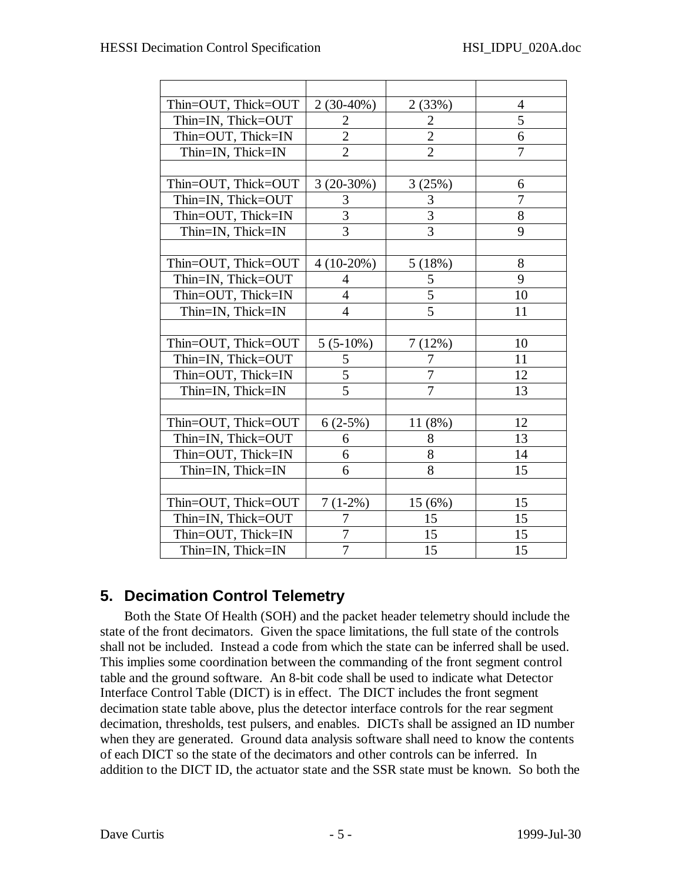| Thin=OUT, Thick=OUT | $2(30-40\%)$   | 2(33%)         | $\overline{4}$ |
|---------------------|----------------|----------------|----------------|
| Thin=IN, Thick=OUT  | $\overline{2}$ | $\overline{2}$ | 5              |
| Thin=OUT, Thick=IN  | $\overline{c}$ | $\overline{2}$ | 6              |
| Thin=IN, Thick=IN   | $\overline{2}$ | $\overline{2}$ | 7              |
|                     |                |                |                |
| Thin=OUT, Thick=OUT | $3(20-30%)$    | 3(25%)         | 6              |
| Thin=IN, Thick=OUT  | 3              | 3              | $\overline{7}$ |
| Thin=OUT, Thick=IN  | $\overline{3}$ | $\overline{3}$ | 8              |
| Thin=IN, Thick=IN   | 3              | 3              | 9              |
|                     |                |                |                |
| Thin=OUT, Thick=OUT | $4(10-20%)$    | 5(18%)         | 8              |
| Thin=IN, Thick=OUT  | $\overline{4}$ | 5              | 9              |
| Thin=OUT, Thick=IN  | $\overline{4}$ | 5              | 10             |
| Thin=IN, Thick=IN   | 4              | 5              | 11             |
|                     |                |                |                |
| Thin=OUT, Thick=OUT | $5(5-10\%)$    | 7(12%)         | 10             |
| Thin=IN, Thick=OUT  | 5              | 7              | 11             |
| Thin=OUT, Thick=IN  | 5              | 7              | 12             |
| Thin=IN, Thick=IN   | 5              | 7              | 13             |
|                     |                |                |                |
| Thin=OUT, Thick=OUT | $6(2-5%)$      | 11 (8%)        | 12             |
| Thin=IN, Thick=OUT  | 6              | 8              | 13             |
| Thin=OUT, Thick=IN  | 6              | 8              | 14             |
| Thin=IN, Thick=IN   | 6              | 8              | 15             |
|                     |                |                |                |
| Thin=OUT, Thick=OUT | $7(1-2\%)$     | 15(6%)         | 15             |
| Thin=IN, Thick=OUT  | 7              | 15             | 15             |
| Thin=OUT, Thick=IN  | 7              | 15             | 15             |
| Thin=IN, Thick=IN   | $\overline{7}$ | 15             | 15             |

## **5. Decimation Control Telemetry**

Both the State Of Health (SOH) and the packet header telemetry should include the state of the front decimators. Given the space limitations, the full state of the controls shall not be included. Instead a code from which the state can be inferred shall be used. This implies some coordination between the commanding of the front segment control table and the ground software. An 8-bit code shall be used to indicate what Detector Interface Control Table (DICT) is in effect. The DICT includes the front segment decimation state table above, plus the detector interface controls for the rear segment decimation, thresholds, test pulsers, and enables. DICTs shall be assigned an ID number when they are generated. Ground data analysis software shall need to know the contents of each DICT so the state of the decimators and other controls can be inferred. In addition to the DICT ID, the actuator state and the SSR state must be known. So both the